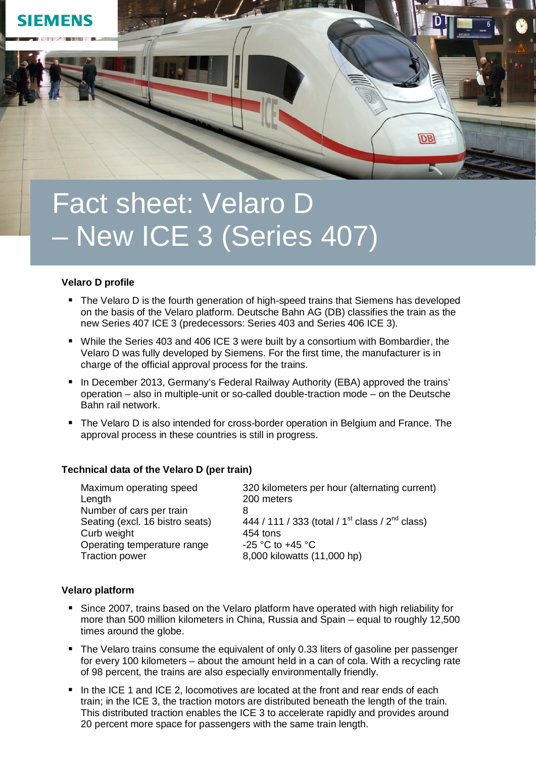

# Fact sheet: Velaro D – New ICE 3 (Series 407)

## **Velaro D profile**

- The Velaro D is the fourth generation of high-speed trains that Siemens has developed on the basis of the Velaro platform. Deutsche Bahn AG (DB) classifies the train as the new Series 407 ICE 3 (predecessors: Series 403 and Series 406 ICE 3).
- While the Series 403 and 406 ICE 3 were built by a consortium with Bombardier, the Velaro D was fully developed by Siemens. For the first time, the manufacturer is in charge of the official approval process for the trains.
- In December 2013, Germany's Federal Railway Authority (EBA) approved the trains' operation – also in multiple-unit or so-called double-traction mode – on the Deutsche Bahn rail network.
- The Velaro D is also intended for cross-border operation in Belgium and France. The approval process in these countries is still in progress.

## **Technical data of the Velaro D (per train)**

| Maximum operating speed         | 320 kilometers per hour (alternating current)                 |
|---------------------------------|---------------------------------------------------------------|
| Length                          | 200 meters                                                    |
| Number of cars per train        |                                                               |
| Seating (excl. 16 bistro seats) | 444 / 111 / 333 (total / 1 <sup>st</sup> class / $2nd$ class) |
| Curb weight                     | 454 tons                                                      |
| Operating temperature range     | $-25$ °C to $+45$ °C                                          |
| <b>Traction power</b>           | 8,000 kilowatts (11,000 hp)                                   |

# **Velaro platform**

- Since 2007, trains based on the Velaro platform have operated with high reliability for more than 500 million kilometers in China, Russia and Spain – equal to roughly 12,500 times around the globe.
- The Velaro trains consume the equivalent of only 0.33 liters of gasoline per passenger for every 100 kilometers – about the amount held in a can of cola. With a recycling rate of 98 percent, the trains are also especially environmentally friendly.
- In the ICE 1 and ICE 2, locomotives are located at the front and rear ends of each train; in the ICE 3, the traction motors are distributed beneath the length of the train. This distributed traction enables the ICE 3 to accelerate rapidly and provides around 20 percent more space for passengers with the same train length.